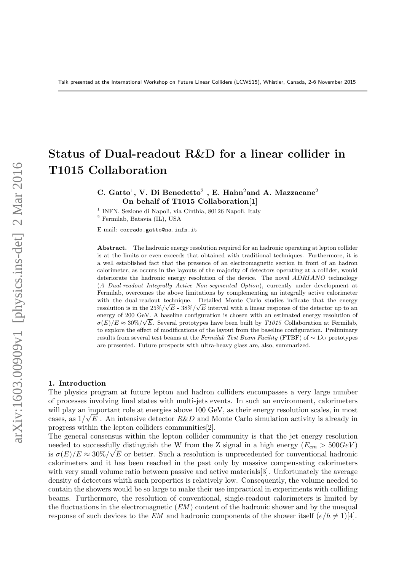# Status of Dual-readout R&D for a linear collider in T1015 Collaboration

C. Gatto<sup>1</sup>, V. Di Benedetto<sup>2</sup> , E. Hahn<sup>2</sup>and A. Mazzacane<sup>2</sup> On behalf of T1015 Collaboration[1]

<sup>1</sup> INFN, Sezione di Napoli, via Cinthia, 80126 Napoli, Italy

<sup>2</sup> Fermilab, Batavia (IL), USA

E-mail: corrado.gatto@na.infn.it

Abstract. The hadronic energy resolution required for an hadronic operating at lepton collider is at the limits or even exceeds that obtained with traditional techniques. Furthermore, it is a well established fact that the presence of an electromagnetic section in front of an hadron calorimeter, as occurs in the layouts of the majority of detectors operating at a collider, would deteriorate the hadronic energy resolution of the device. The novel ADRIANO technology (A Dual-readout Integrally Active Non-segmented Option), currently under development at Fermilab, overcomes the above limitations by complementing an integrally active calorimeter with the dual-readout technique. Detailed Monte Carlo studies indicate that the energy resolution is in the  $25\%/\sqrt{E}$  -  $38\%/\sqrt{E}$  interval with a linear response of the detector up to an energy of 200 GeV. A baseline configuration is chosen with an estimated energy resolution of  $\sigma(E)/E \approx 30\%/\sqrt{E}$ . Several prototypes have been built by T1015 Collaboration at Fermilab, to explore the effect of modifications of the layout from the baseline configuration. Preliminary results from several test beams at the Fermilab Test Beam Facility (FTBF) of  $\sim 1\lambda_I$  prototypes are presented. Future prospects with ultra-heavy glass are, also, summarized.

#### 1. Introduction

The physics program at future lepton and hadron colliders encompasses a very large number of processes involving final states with multi-jets events. In such an environment, calorimeters will play an important role at energies above 100 GeV, as their energy resolution scales, in most cases, as  $1/\sqrt{E}$ . An intensive detector  $R\&D$  and Monte Carlo simulation activity is already in progress within the lepton colliders communities[2].

The general consensus within the lepton collider community is that the jet energy resolution needed to successfully distinguish the W from the Z signal in a high energy  $(E_{cm} > 500 GeV)$ is  $\sigma(E)/E \approx 30\%/\sqrt{E}$  or better. Such a resolution is unprecedented for conventional hadronic calorimeters and it has been reached in the past only by massive compensating calorimeters with very small volume ratio between passive and active materials [3]. Unfortunately the average density of detectors whith such properties is relatively low. Consequently, the volume needed to contain the showers would be so large to make their use impractical in experiments with colliding beams. Furthermore, the resolution of conventional, single-readout calorimeters is limited by the fluctuations in the electromagnetic  $(EM)$  content of the hadronic shower and by the unequal response of such devices to the EM and hadronic components of the shower itself  $(e/h \neq 1)$ [4].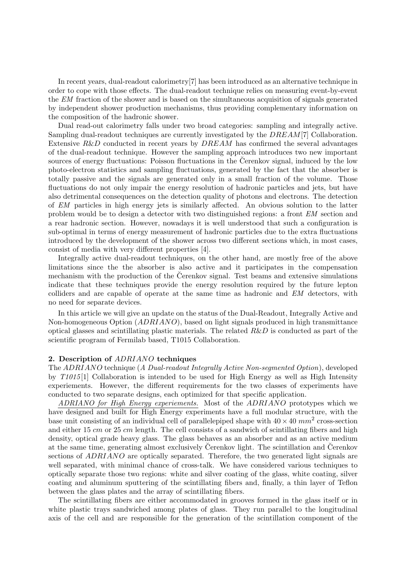In recent years, dual-readout calorimetry[7] has been introduced as an alternative technique in order to cope with those effects. The dual-readout technique relies on measuring event-by-event the EM fraction of the shower and is based on the simultaneous acquisition of signals generated by independent shower production mechanisms, thus providing complementary information on the composition of the hadronic shower.

Dual read-out calorimetry falls under two broad categories: sampling and integrally active. Sampling dual-readout techniques are currently investigated by the DREAM[7] Collaboration. Extensive  $R&D$  conducted in recent years by  $DREAM$  has confirmed the several advantages of the dual-readout technique. However the sampling approach introduces two new important sources of energy fluctuations: Poisson fluctuations in the Cerenkov signal, induced by the low photo-electron statistics and sampling fluctuations, generated by the fact that the absorber is totally passive and the signals are generated only in a small fraction of the volume. Those fluctuations do not only impair the energy resolution of hadronic particles and jets, but have also detrimental consequences on the detection quality of photons and electrons. The detection of EM particles in high energy jets is similarly affected. An obvious solution to the latter problem would be to design a detector with two distinguished regions: a front EM section and a rear hadronic section. However, nowadays it is well understood that such a configuration is sub-optimal in terms of energy measurement of hadronic particles due to the extra fluctuations introduced by the development of the shower across two different sections which, in most cases, consist of media with very different properties [4].

Integrally active dual-readout techniques, on the other hand, are mostly free of the above limitations since the the absorber is also active and it participates in the compensation mechanism with the production of the Cerenkov signal. Test beams and extensive simulations indicate that these techniques provide the energy resolution required by the future lepton colliders and are capable of operate at the same time as hadronic and EM detectors, with no need for separate devices.

In this article we will give an update on the status of the Dual-Readout, Integrally Active and Non-homogeneous Option (ADRIANO), based on light signals produced in high transmittance optical glasses and scintillating plastic materials. The related  $R\&D$  is conducted as part of the scientific program of Fermilab based, T1015 Collaboration.

#### 2. Description of ADRIANO techniques

The ADRIANO technique (A Dual-readout Integrally Active Non-segmented Option), developed by T1015 [1] Collaboration is intended to be used for High Energy as well as High Intensity experiements. However, the different requirements for the two classes of experiments have conducted to two separate designs, each optimized for that specific application.

ADRIANO for High Energy experiements. Most of the ADRIANO prototypes which we have designed and built for High Energy experiments have a full modular structure, with the base unit consisting of an individual cell of parallelepiped shape with  $40 \times 40$  mm<sup>2</sup> cross-section and either 15  $cm$  or 25  $cm$  length. The cell consists of a sandwich of scintillating fibers and high density, optical grade heavy glass. The glass behaves as an absorber and as an active medium at the same time, generating almost exclusively Cerenkov light. The scintillation and Cerenkov sections of *ADRIANO* are optically separated. Therefore, the two generated light signals are well separated, with minimal chance of cross-talk. We have considered various techniques to optically separate those two regions: white and silver coating of the glass, white coating, silver coating and aluminum sputtering of the scintillating fibers and, finally, a thin layer of Teflon between the glass plates and the array of scintillating fibers.

The scintillating fibers are either accommodated in grooves formed in the glass itself or in white plastic trays sandwiched among plates of glass. They run parallel to the longitudinal axis of the cell and are responsible for the generation of the scintillation component of the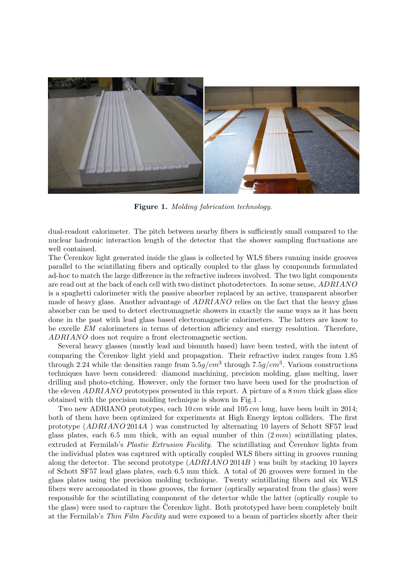

Figure 1. Molding fabrication technology.

dual-readout calorimeter. The pitch between nearby fibers is sufficiently small compared to the nuclear hadronic interaction length of the detector that the shower sampling fluctuations are well contained.

The Cerenkov light generated inside the glass is collected by WLS fibers running inside grooves parallel to the scintillating fibers and optically coupled to the glass by compounds formulated ad-hoc to match the large difference in the refractive indeces involved. The two light components are read out at the back of each cell with two distinct photodetectors. In some sense, ADRIANO is a spaghetti calorimeter with the passive absorber replaced by an active, transparent absorber made of heavy glass. Another advantage of ADRIANO relies on the fact that the heavy glass absorber can be used to detect electromagnetic showers in exactly the same ways as it has been done in the past with lead glass based electromagnetic calorimeters. The latters are know to be excelle EM calorimeters in terms of detection afficiency and energy resolution. Therefore, ADRIANO does not require a front electromagnetic section.

Several heavy glasses (mostly lead and bismuth based) have been tested, with the intent of comparing the Čerenkov light yield and propagation. Their refractive index ranges from 1.85 through 2.24 while the densities range from  $5.5g/cm^3$  through  $7.5g/cm^3$ . Various constructions techniques have been considered: diamond machining, precision molding, glass melting, laser drilling and photo-etching. However, only the former two have been used for the production of the eleven  $ADRIANO$  prototypes presented in this report. A picture of a 8 mm thick glass slice obtained with the precision molding technique is shown in Fig.1 .

Two new ADRIANO prototypes, each  $10 \, \text{cm}$  wide and  $105 \, \text{cm}$  long, have been built in 2014; both of them have been optimized for experiments at High Energy lepton colliders. The first prototype (ADRIANO 2014A ) was constructed by alternating 10 layers of Schott SF57 lead glass plates, each 6.5 mm thick, with an equal number of thin  $(2 \, mm)$  scintillating plates, extruded at Fermilab's *Plastic Extrusion Facility*. The scintillating and Cerenkov lights from the individual plates was captured with optically coupled WLS fibers sitting in grooves running along the detector. The second prototype  $(ADRIANO 2014B)$  was built by stacking 10 layers of Schott SF57 lead glass plates, each 6.5 mm thick. A total of 26 grooves were formed in the glass plates using the precision molding technique. Twenty scintillating fibers and six WLS fibers were accomodated in those grooves, the former (optically separated from the glass) were responsible for the scintillating component of the detector while the latter (optically couple to the glass) were used to capture the Cerenkov light. Both prototyped have been completely built at the Fermilab's Thin Film Facility and were exposed to a beam of particles shortly after their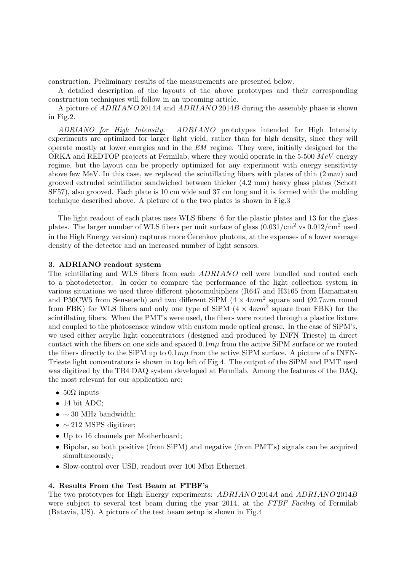construction. Preliminary results of the measurements are presented below.

A detailed description of the layouts of the above prototypes and their corresponding construction techniques will follow in an upcoming article.

A picture of ADRIANO 2014A and ADRIANO 2014B during the assembly phase is shown in Fig.2.

ADRIANO for High Intensity. ADRIANO prototypes intended for High Intensity experiments are optimized for larger light yield, rather than for high density, since they will operate mostly at lower energies and in the EM regime. They were, initially designed for the ORKA and REDTOP projects at Fermilab, where they would operate in the  $5-500$   $MeV$  energy regime, but the layout can be properly optimized for any experiment with energy sensitivity above few MeV. In this case, we replaced the scintillating fibers with plates of thin  $(2 \, mm)$  and grooved extruded scintillator sandwiched between thicker (4.2 mm) heavy glass plates (Schott SF57), also grooved. Each plate is 10 cm wide and 37 cm long and it is formed with the molding technique described above. A picture of a the two plates is shown in Fig.3

The light readout of each plates uses WLS fibers: 6 for the plastic plates and 13 for the glass plates. The larger number of WLS fibers per unit surface of glass  $(0.031/cm^2 \text{ vs } 0.012/cm^2 \text{ used})$ in the High Energy version) captures more Cerenkov photons, at the expenses of a lower average density of the detector and an increased number of light sensors.

### 3. ADRIANO readout system

The scintillating and WLS fibers from each ADRIANO cell were bundled and routed each to a photodetector. In order to compare the performance of the light collection system in various situations we used three different photomultipliers (R647 and H3165 from Hamamatsu and P30CW5 from Sensetech) and two different SiPM  $(4 \times 4mm^2)$  square and  $\emptyset$ 2.7mm round from FBK) for WLS fibers and only one type of SiPM  $(4 \times 4mm^2)$  square from FBK) for the scintillating fibers. When the PMT's were used, the fibers were routed through a plastice fixture and coupled to the photosensor window with custom made optical grease. In the case of SiPM's, we used either acrylic light concentrators (designed and produced by INFN Trieste) in direct contact with the fibers on one side and spaced  $0.1mu$  from the active SiPM surface or we routed the fibers directly to the SiPM up to  $0.1m\mu$  from the active SiPM surface. A picture of a INFN-Trieste light concentrators is shown in top left of Fig.4. The output of the SiPM and PMT used was digitized by the TB4 DAQ system developed at Fermilab. Among the features of the DAQ, the most relevant for our application are:

•  $50\Omega$  inputs

.

- 14 bit ADC;
- $\sim$  30 MHz bandwidth;
- $\sim$  212 MSPS digitizer;
- Up to 16 channels per Motherboard;
- Bipolar, so both positive (from SiPM) and negative (from PMT's) signals can be acquired simultaneously;
- Slow-control over USB, readout over 100 Mbit Ethernet.

# 4. Results From the Test Beam at FTBF's

The two prototypes for High Energy experiments: ADRIANO 2014A and ADRIANO 2014B were subject to several test beam during the year 2014, at the  $FTBF$  Facility of Fermilab (Batavia, US). A picture of the test beam setup is shown in Fig.4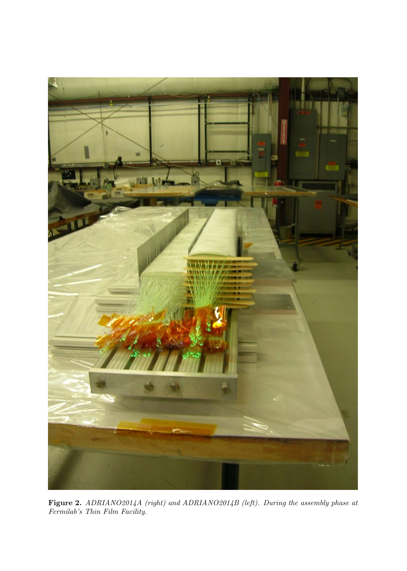

Figure 2. ADRIANO2014A (right) and ADRIANO2014B (left). During the assembly phase at Fermilab's Thin Film Facility.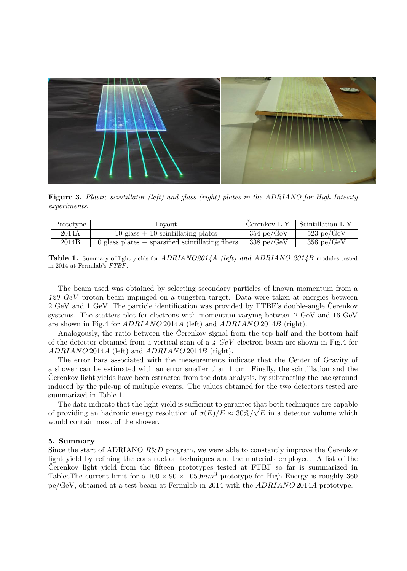

Figure 3. Plastic scintillator (left) and glass (right) plates in the ADRIANO for High Intesity experiments.

| Prototype | Lavout                                              |                       | Cerenkov L.Y. $\vert$ Scintillation L.Y. |
|-----------|-----------------------------------------------------|-----------------------|------------------------------------------|
| 2014A     | $10$ glass $+10$ scintillating plates               | $354 \text{ pe/GeV}$  | $523$ pe/GeV                             |
| 2014B     | 10 glass plates $+$ sparsified scintillating fibers | $338~\mathrm{pe/GeV}$ | $356$ pe/GeV                             |

**Table 1.** Summary of light yields for  $ADRIANO2014A$  (left) and  $ADRIANO2014B$  modules tested in 2014 at Fermilab's FTBF.

The beam used was obtained by selecting secondary particles of known momentum from a  $120 \text{ GeV}$  proton beam impinged on a tungsten target. Data were taken at energies between 2 GeV and 1 GeV. The particle identification was provided by FTBF's double-angle Cerenkov ˘ systems. The scatters plot for electrons with momentum varying between 2 GeV and 16 GeV are shown in Fig.4 for ADRIANO 2014A (left) and ADRIANO 2014B (right).

Analogously, the ratio between the Cerenkov signal from the top half and the bottom half of the detector obtained from a vertical scan of a  $4 \, GeV$  electron beam are shown in Fig.4 for ADRIANO 2014A (left) and ADRIANO 2014B (right).

The error bars associated with the measurements indicate that the Center of Gravity of a shower can be estimated with an error smaller than 1 cm. Finally, the scintillation and the Cerenkov light yields have been estracted from the data analysis, by subtracting the background induced by the pile-up of multiple events. The values obtained for the two detectors tested are summarized in Table 1.

The data indicate that the light yield is sufficient to garantee that both techniques are capable of providing an hadronic energy resolution of  $\sigma(E)/E \approx 30\%/\sqrt{E}$  in a detector volume which would contain most of the shower.

#### 5. Summary

Since the start of ADRIANO  $R\&D$  program, we were able to constantly improve the Cerenkov light yield by refining the construction techniques and the materials employed. A list of the Cerenkov light yield from the fifteen prototypes tested at FTBF so far is summarized in ˘ TablecThe current limit for a  $100 \times 90 \times 1050$  mm<sup>3</sup> prototype for High Energy is roughly 360 pe/GeV, obtained at a test beam at Fermilab in 2014 with the ADRIANO 2014A prototype.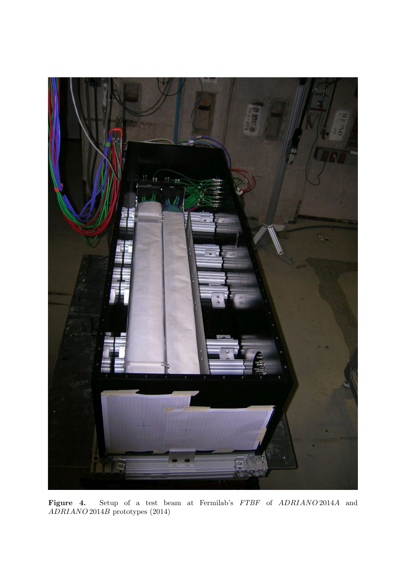

Figure 4. Setup of a test beam at Fermilab's FTBF of ADRIANO 2014A and ADRIANO 2014B prototypes (2014)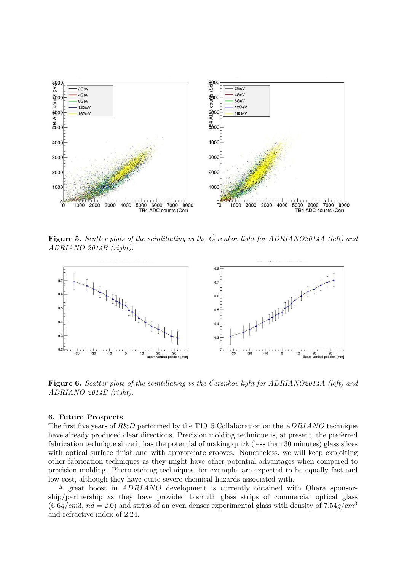

Figure 5. Scatter plots of the scintillating vs the Cerenkov light for ADRIANO2014A (left) and ADRIANO 2014B (right).



Figure 6. Scatter plots of the scintillating vs the Cerenkov light for ADRIANO2014A (left) and ADRIANO 2014B (right).

#### 6. Future Prospects

The first five years of R&D performed by the T1015 Collaboration on the ADRIANO technique have already produced clear directions. Precision molding technique is, at present, the preferred fabrication technique since it has the potential of making quick (less than 30 minutes) glass slices with optical surface finish and with appropriate grooves. Nonetheless, we will keep exploiting other fabrication techniques as they might have other potential advantages when compared to precision molding. Photo-etching techniques, for example, are expected to be equally fast and low-cost, although they have quite severe chemical hazards associated with.

A great boost in ADRIANO development is currently obtained with Ohara sponsorship/partnership as they have provided bismuth glass strips of commercial optical glass  $(6.6q/cm3, nd = 2.0)$  and strips of an even denser experimental glass with density of 7.54q/cm<sup>3</sup> and refractive index of 2.24.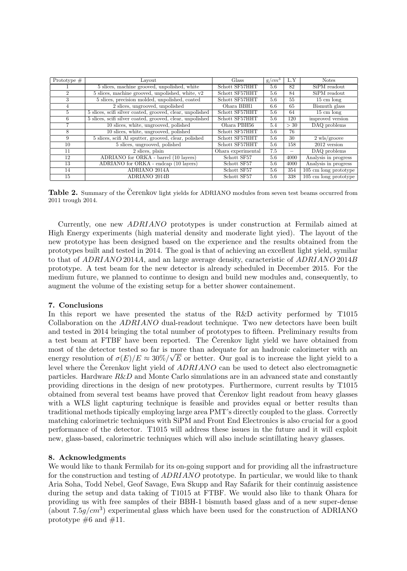| Prototype $#$  | Layout                                                    | Glass              | $g/cm^3$ | L.Y  | <b>Notes</b>                       |
|----------------|-----------------------------------------------------------|--------------------|----------|------|------------------------------------|
|                | 5 slices, machine grooved, unpolished, white              | Schott SF57HHT     | 5.6      | 82   | SiPM readout                       |
| $\overline{2}$ | $5$ slices, machine grooved, unpolished, white, $v2$      | Schott SF57HHT     | 5.6      | 84   | SiPM readout                       |
| 3              | 5 slices, precision molded, unpolished, coated            | Schott SF57HHT     | 5.6      | 55   | $15 \text{ cm}$ long               |
| $\overline{4}$ | 2 slices, ungrooved, unpolished                           | Ohara BBH1         | 6.6      | 65   | Bismuth glass                      |
| $\frac{5}{2}$  | 5 slices, scifi silver coated, grooved, clear, unpolished | Schott SF57HHT     | 5.6      | 64   | $15 \text{ cm}$ long               |
| 6              | 5 slices, scifi silver coated, grooved, clear, unpolished | Schott SF57HHT     | 5.6      | 120  | improved version                   |
| 7              | 10 slices, white, ungrooved, polished                     | Ohara PBH56        | 5.4      | >30  | DAQ problems                       |
| 8              | 10 slices, white, ungrooved, polished                     | Schott SF57HHT     | 5.6      | 76   |                                    |
| 9              | 5 slices, scifi Al sputter, grooved, clear, polished      | Schott SF57HHT     | 5.6      | 30   | $2 \text{ wls/groove}$             |
| 10             | 5 slices, ungrooved, polished                             | Schott SF57HHT     | 5.6      | 158  | $2012$ version                     |
| 11             | 2 slices, plain                                           | Ohara experimental | 7.5      |      | DAQ problems                       |
| 12             | ADRIANO for ORKA - barrel (10 layers)                     | Schott SF57        | 5.6      | 4000 | Analysis in progress               |
| 13             | ADRIANO for ORKA - endcap (10 layers)                     | Schott SF57        | 5.6      | 4000 | Analysis in progress               |
| 14             | ADRIANO 2014A                                             | Schott SF57        | 5.6      | 354  | $\overline{105}$ cm long prototype |
| 15             | <b>ADRIANO 2014B</b>                                      | Schott SF57        | 5.6      | 338  | $\overline{105}$ cm long prototype |

Table 2. Summary of the Cerenkov light yields for ADRIANO modules from seven test beams occurred from 2011 trough 2014.

Currently, one new ADRIANO prototypes is under construction at Fermilab aimed at High Energy experiments (high material density and moderate light yied). The layout of the new prototype has been designed based on the experience and the results obtained from the prototypes built and tested in 2014. The goal is that of achieving an excellent light yield, symilar to that of ADRIANO 2014A, and an large average density, caracteristic of ADRIANO 2014B prototype. A test beam for the new detector is already scheduled in December 2015. For the medium future, we planned to continue to design and build new modules and, consequently, to augment the volume of the existing setup for a better shower containement.

# 7. Conclusions

In this report we have presented the status of the R&D activity performed by T1015 Collaboration on the ADRIANO dual-readout technique. Two new detectors have been built and tested in 2014 bringing the total number of prototypes to fifteen. Preliminary results from a test beam at FTBF have been reported. The Cerenkov light yield we have obtained from ˘ most of the detector tested so far is more than adequate for an hadronic calorimeter with an energy resolution of  $\sigma(E)/E \approx 30\%/\sqrt{E}$  or better. Our goal is to increase the light yield to a level where the Cerenkov light yield of  $ADRIANO$  can be used to detect also electromagnetic particles. Hardware R&D and Monte Carlo simulations are in an advanced state and constantly providing directions in the design of new prototypes. Furthermore, current results by T1015 obtained from several test beams have proved that Cerenkov light readout from heavy glasses ˘ with a WLS light capturing technique is feasible and provides equal or better results than traditional methods tipically employing large area PMT's directly coupled to the glass. Correctly matching calorimetric techniques with SiPM and Front End Electronics is also crucial for a good performance of the detector. T1015 will address these issues in the future and it will exploit new, glass-based, calorimetric techniques which will also include scintillating heavy glasses.

# 8. Acknowledgments

We would like to thank Fermilab for its on-going support and for providing all the infrastructure for the construction and testing of ADRIANO prototype. In particular, we would like to thank Aria Soha, Todd Nebel, Geof Savage, Ewa Skupp and Ray Safarik for their continuig assistence during the setup and data taking of T1015 at FTBF. We would also like to thank Ohara for providing us with free samples of their BBH-1 bismuth based glass and of a new super-dense (about  $7.5g/cm<sup>3</sup>$ ) experimental glass which have been used for the construction of ADRIANO prototype  $\#6$  and  $\#11$ .